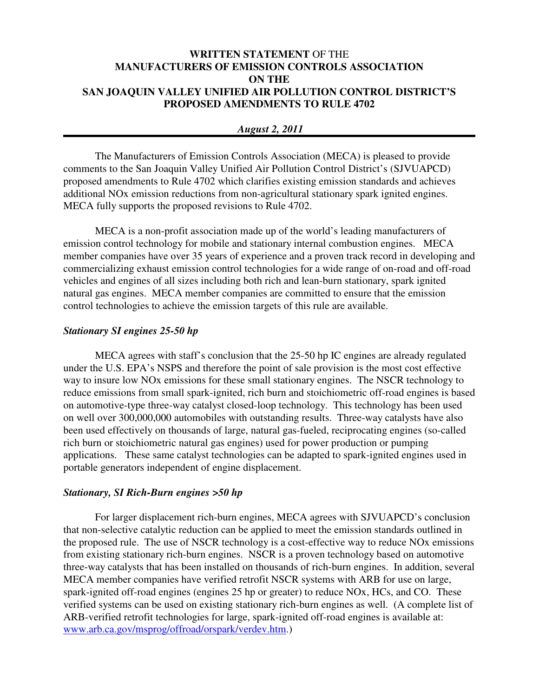# **WRITTEN STATEMENT** OF THE **MANUFACTURERS OF EMISSION CONTROLS ASSOCIATION ON THE SAN JOAQUIN VALLEY UNIFIED AIR POLLUTION CONTROL DISTRICT'S PROPOSED AMENDMENTS TO RULE 4702**

### *August 2, 2011*

The Manufacturers of Emission Controls Association (MECA) is pleased to provide comments to the San Joaquin Valley Unified Air Pollution Control District's (SJVUAPCD) proposed amendments to Rule 4702 which clarifies existing emission standards and achieves additional NOx emission reductions from non-agricultural stationary spark ignited engines. MECA fully supports the proposed revisions to Rule 4702.

MECA is a non-profit association made up of the world's leading manufacturers of emission control technology for mobile and stationary internal combustion engines. MECA member companies have over 35 years of experience and a proven track record in developing and commercializing exhaust emission control technologies for a wide range of on-road and off-road vehicles and engines of all sizes including both rich and lean-burn stationary, spark ignited natural gas engines. MECA member companies are committed to ensure that the emission control technologies to achieve the emission targets of this rule are available.

#### *Stationary SI engines 25-50 hp*

MECA agrees with staff's conclusion that the 25-50 hp IC engines are already regulated under the U.S. EPA's NSPS and therefore the point of sale provision is the most cost effective way to insure low NOx emissions for these small stationary engines. The NSCR technology to reduce emissions from small spark-ignited, rich burn and stoichiometric off-road engines is based on automotive-type three-way catalyst closed-loop technology. This technology has been used on well over 300,000,000 automobiles with outstanding results. Three-way catalysts have also been used effectively on thousands of large, natural gas-fueled, reciprocating engines (so-called rich burn or stoichiometric natural gas engines) used for power production or pumping applications. These same catalyst technologies can be adapted to spark-ignited engines used in portable generators independent of engine displacement.

#### *Stationary, SI Rich-Burn engines >50 hp*

 For larger displacement rich-burn engines, MECA agrees with SJVUAPCD's conclusion that non-selective catalytic reduction can be applied to meet the emission standards outlined in the proposed rule. The use of NSCR technology is a cost-effective way to reduce NOx emissions from existing stationary rich-burn engines. NSCR is a proven technology based on automotive three-way catalysts that has been installed on thousands of rich-burn engines. In addition, several MECA member companies have verified retrofit NSCR systems with ARB for use on large, spark-ignited off-road engines (engines 25 hp or greater) to reduce NOx, HCs, and CO. These verified systems can be used on existing stationary rich-burn engines as well. (A complete list of ARB-verified retrofit technologies for large, spark-ignited off-road engines is available at: www.arb.ca.gov/msprog/offroad/orspark/verdev.htm.)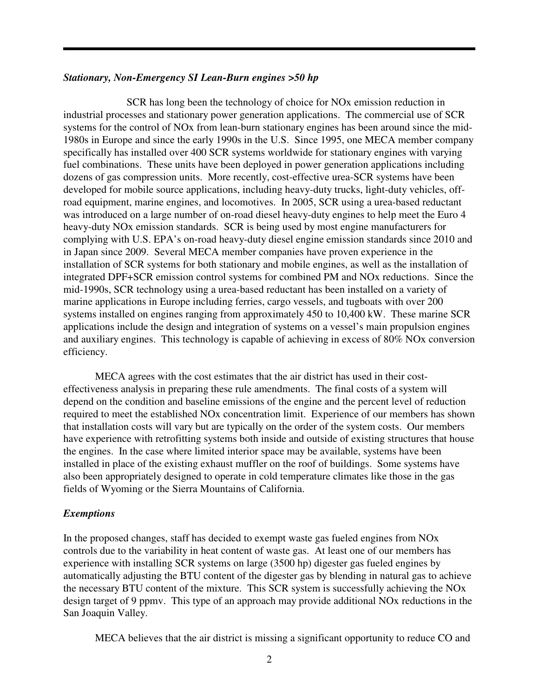#### *Stationary, Non-Emergency SI Lean-Burn engines >50 hp*

 SCR has long been the technology of choice for NOx emission reduction in industrial processes and stationary power generation applications. The commercial use of SCR systems for the control of NOx from lean-burn stationary engines has been around since the mid-1980s in Europe and since the early 1990s in the U.S. Since 1995, one MECA member company specifically has installed over 400 SCR systems worldwide for stationary engines with varying fuel combinations. These units have been deployed in power generation applications including dozens of gas compression units. More recently, cost-effective urea-SCR systems have been developed for mobile source applications, including heavy-duty trucks, light-duty vehicles, offroad equipment, marine engines, and locomotives. In 2005, SCR using a urea-based reductant was introduced on a large number of on-road diesel heavy-duty engines to help meet the Euro 4 heavy-duty NOx emission standards. SCR is being used by most engine manufacturers for complying with U.S. EPA's on-road heavy-duty diesel engine emission standards since 2010 and in Japan since 2009. Several MECA member companies have proven experience in the installation of SCR systems for both stationary and mobile engines, as well as the installation of integrated DPF+SCR emission control systems for combined PM and NOx reductions. Since the mid-1990s, SCR technology using a urea-based reductant has been installed on a variety of marine applications in Europe including ferries, cargo vessels, and tugboats with over 200 systems installed on engines ranging from approximately 450 to 10,400 kW. These marine SCR applications include the design and integration of systems on a vessel's main propulsion engines and auxiliary engines. This technology is capable of achieving in excess of 80% NOx conversion efficiency.

 MECA agrees with the cost estimates that the air district has used in their costeffectiveness analysis in preparing these rule amendments. The final costs of a system will depend on the condition and baseline emissions of the engine and the percent level of reduction required to meet the established NOx concentration limit. Experience of our members has shown that installation costs will vary but are typically on the order of the system costs. Our members have experience with retrofitting systems both inside and outside of existing structures that house the engines. In the case where limited interior space may be available, systems have been installed in place of the existing exhaust muffler on the roof of buildings. Some systems have also been appropriately designed to operate in cold temperature climates like those in the gas fields of Wyoming or the Sierra Mountains of California.

## *Exemptions*

In the proposed changes, staff has decided to exempt waste gas fueled engines from NOx controls due to the variability in heat content of waste gas. At least one of our members has experience with installing SCR systems on large (3500 hp) digester gas fueled engines by automatically adjusting the BTU content of the digester gas by blending in natural gas to achieve the necessary BTU content of the mixture. This SCR system is successfully achieving the NOx design target of 9 ppmv. This type of an approach may provide additional NOx reductions in the San Joaquin Valley.

MECA believes that the air district is missing a significant opportunity to reduce CO and